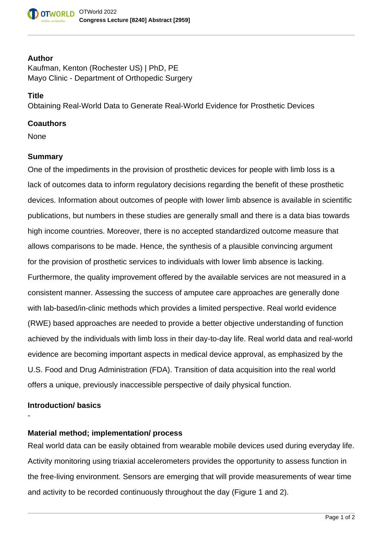#### **Author**

Kaufman, Kenton (Rochester US) | PhD, PE Mayo Clinic - Department of Orthopedic Surgery

### **Title**

Obtaining Real-World Data to Generate Real-World Evidence for Prosthetic Devices

#### **Coauthors**

None

#### **Summary**

One of the impediments in the provision of prosthetic devices for people with limb loss is a lack of outcomes data to inform regulatory decisions regarding the benefit of these prosthetic devices. Information about outcomes of people with lower limb absence is available in scientific publications, but numbers in these studies are generally small and there is a data bias towards high income countries. Moreover, there is no accepted standardized outcome measure that allows comparisons to be made. Hence, the synthesis of a plausible convincing argument for the provision of prosthetic services to individuals with lower limb absence is lacking. Furthermore, the quality improvement offered by the available services are not measured in a consistent manner. Assessing the success of amputee care approaches are generally done with lab-based/in-clinic methods which provides a limited perspective. Real world evidence (RWE) based approaches are needed to provide a better objective understanding of function achieved by the individuals with limb loss in their day-to-day life. Real world data and real-world evidence are becoming important aspects in medical device approval, as emphasized by the U.S. Food and Drug Administration (FDA). Transition of data acquisition into the real world offers a unique, previously inaccessible perspective of daily physical function.

#### **Introduction/ basics**

-

# **Material method; implementation/ process**

Real world data can be easily obtained from wearable mobile devices used during everyday life. Activity monitoring using triaxial accelerometers provides the opportunity to assess function in the free-living environment. Sensors are emerging that will provide measurements of wear time and activity to be recorded continuously throughout the day (Figure 1 and 2).